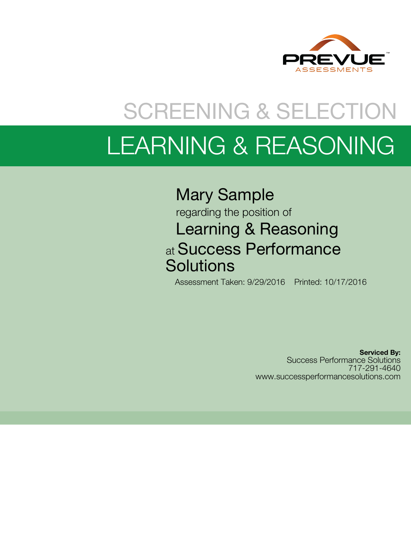

# SCREENING & SELECTION LEARNING & REASONING

# Mary Sample

### regarding the position of Learning & Reasoning at Success Performance **Solutions**

Assessment Taken: 9/29/2016 Printed: 10/17/2016

**Serviced By:** Success Performance Solutions 717-291-4640 www.successperformancesolutions.com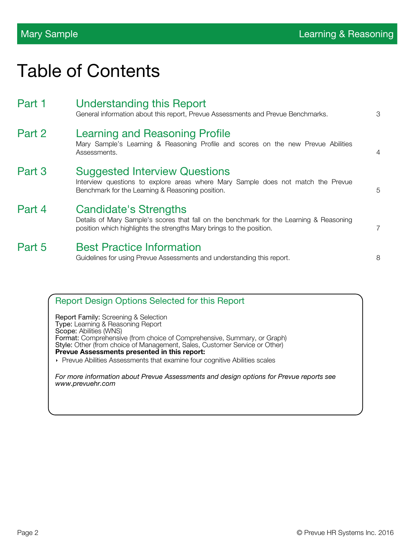# Table of Contents

| Part 1 | <b>Understanding this Report</b><br>General information about this report, Prevue Assessments and Prevue Benchmarks.                                                                            | 3              |
|--------|-------------------------------------------------------------------------------------------------------------------------------------------------------------------------------------------------|----------------|
| Part 2 | Learning and Reasoning Profile<br>Mary Sample's Learning & Reasoning Profile and scores on the new Prevue Abilities<br>Assessments.                                                             | $\overline{4}$ |
| Part 3 | <b>Suggested Interview Questions</b><br>Interview questions to explore areas where Mary Sample does not match the Prevue<br>Benchmark for the Learning & Reasoning position.                    | 5              |
| Part 4 | <b>Candidate's Strengths</b><br>Details of Mary Sample's scores that fall on the benchmark for the Learning & Reasoning<br>position which highlights the strengths Mary brings to the position. | 7              |
| Part 5 | <b>Best Practice Information</b><br>Guidelines for using Prevue Assessments and understanding this report.                                                                                      | 8              |

| <b>Report Design Options Selected for this Report</b>                                                                                                                                                                                                                                                                                                                                              |
|----------------------------------------------------------------------------------------------------------------------------------------------------------------------------------------------------------------------------------------------------------------------------------------------------------------------------------------------------------------------------------------------------|
| <b>Report Family:</b> Screening & Selection<br>Type: Learning & Reasoning Report<br>Scope: Abilities (WNS)<br>Format: Comprehensive (from choice of Comprehensive, Summary, or Graph)<br>Style: Other (from choice of Management, Sales, Customer Service or Other)<br>Prevue Assessments presented in this report:<br>• Prevue Abilities Assessments that examine four cognitive Abilities scales |
| For more information about Prevue Assessments and design options for Prevue reports see<br>www.prevuehr.com                                                                                                                                                                                                                                                                                        |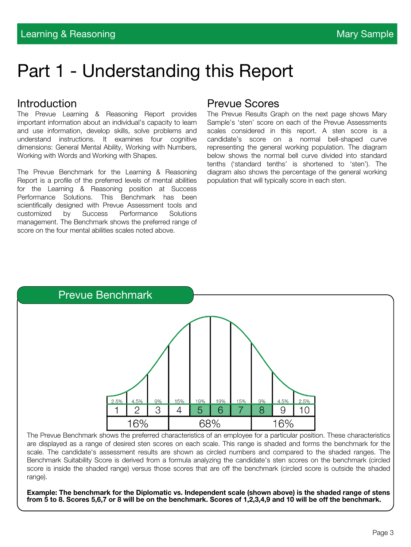# Part 1 - Understanding this Report

#### Introduction

The Prevue Learning & Reasoning Report provides important information about an individual's capacity to learn and use information, develop skills, solve problems and understand instructions. It examines four cognitive dimensions: General Mental Ability, Working with Numbers, Working with Words and Working with Shapes.

The Prevue Benchmark for the Learning & Reasoning Report is a profile of the preferred levels of mental abilities for the Learning & Reasoning position at Success Performance Solutions. This Benchmark has been scientifically designed with Prevue Assessment tools and customized by Success Performance Solutions management. The Benchmark shows the preferred range of score on the four mental abilities scales noted above.

#### Prevue Scores

The Prevue Results Graph on the next page shows Mary Sample's 'sten' score on each of the Prevue Assessments scales considered in this report. A sten score is a candidate's score on a normal bell-shaped curve representing the general working population. The diagram below shows the normal bell curve divided into standard tenths ('standard tenths' is shortened to 'sten'). The diagram also shows the percentage of the general working population that will typically score in each sten.



The Prevue Benchmark shows the preferred characteristics of an employee for a particular position. These characteristics are displayed as a range of desired sten scores on each scale. This range is shaded and forms the benchmark for the scale. The candidate's assessment results are shown as circled numbers and compared to the shaded ranges. The Benchmark Suitability Score is derived from a formula analyzing the candidate's sten scores on the benchmark (circled score is inside the shaded range) versus those scores that are off the benchmark (circled score is outside the shaded range).

**Example: The benchmark for the Diplomatic vs. Independent scale (shown above) is the shaded range of stens from 5 to 8. Scores 5,6,7 or 8 will be on the benchmark. Scores of 1,2,3,4,9 and 10 will be off the benchmark.**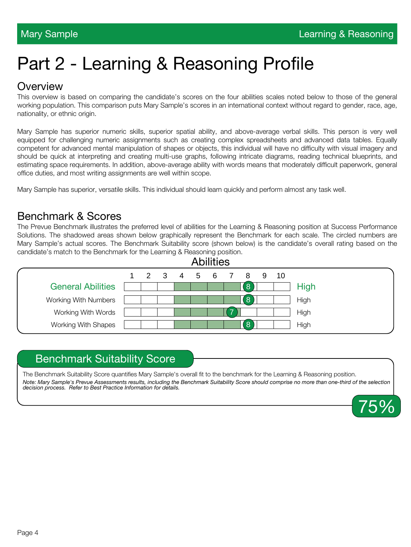# Part 2 - Learning & Reasoning Profile

#### **Overview**

This overview is based on comparing the candidate's scores on the four abilities scales noted below to those of the general working population. This comparison puts Mary Sample's scores in an international context without regard to gender, race, age, nationality, or ethnic origin.

Mary Sample has superior numeric skills, superior spatial ability, and above-average verbal skills. This person is very well equipped for challenging numeric assignments such as creating complex spreadsheets and advanced data tables. Equally competent for advanced mental manipulation of shapes or objects, this individual will have no difficulty with visual imagery and should be quick at interpreting and creating multi-use graphs, following intricate diagrams, reading technical blueprints, and estimating space requirements. In addition, above-average ability with words means that moderately difficult paperwork, general office duties, and most writing assignments are well within scope.

Mary Sample has superior, versatile skills. This individual should learn quickly and perform almost any task well.

### Benchmark & Scores

The Prevue Benchmark illustrates the preferred level of abilities for the Learning & Reasoning position at Success Performance Solutions. The shadowed areas shown below graphically represent the Benchmark for each scale. The circled numbers are Mary Sample's actual scores. The Benchmark Suitability score (shown below) is the candidate's overall rating based on the candidate's match to the Benchmark for the Learning & Reasoning position.



#### Benchmark Suitability Score

The Benchmark Suitability Score quantifies Mary Sample's overall fit to the benchmark for the Learning & Reasoning position. *Note: Mary Sample's Prevue Assessments results, including the Benchmark Suitability Score should comprise no more than one-third of the selection decision process. Refer to Best Practice Information for details.*

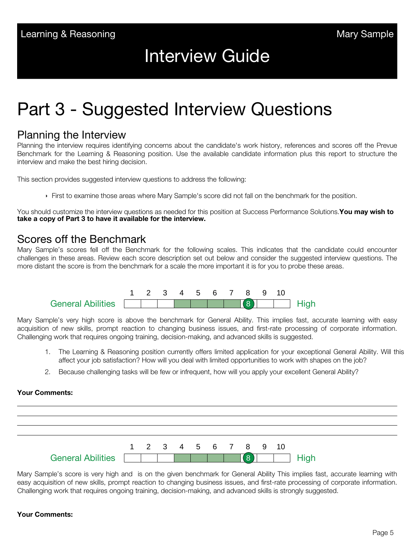## Interview Guide

# Part 3 - Suggested Interview Questions

#### Planning the Interview

Planning the interview requires identifying concerns about the candidate's work history, references and scores off the Prevue Benchmark for the Learning & Reasoning position. Use the available candidate information plus this report to structure the interview and make the best hiring decision.

This section provides suggested interview questions to address the following:

First to examine those areas where Mary Sample's score did not fall on the benchmark for the position.

You should customize the interview questions as needed for this position at Success Performance Solutions.**You may wish to take a copy of Part 3 to have it available for the interview.**

### Scores off the Benchmark

Mary Sample's scores fell off the Benchmark for the following scales. This indicates that the candidate could encounter challenges in these areas. Review each score description set out below and consider the suggested interview questions. The more distant the score is from the benchmark for a scale the more important it is for you to probe these areas.



Mary Sample's very high score is above the benchmark for General Ability. This implies fast, accurate learning with easy acquisition of new skills, prompt reaction to changing business issues, and first-rate processing of corporate information. Challenging work that requires ongoing training, decision-making, and advanced skills is suggested.

- 1. The Learning & Reasoning position currently offers limited application for your exceptional General Ability. Will this affect your job satisfaction? How will you deal with limited opportunities to work with shapes on the job?
- 2. Because challenging tasks will be few or infrequent, how will you apply your excellent General Ability?

#### **Your Comments:**



Mary Sample's score is very high and is on the given benchmark for General Ability This implies fast, accurate learning with easy acquisition of new skills, prompt reaction to changing business issues, and first-rate processing of corporate information. Challenging work that requires ongoing training, decision-making, and advanced skills is strongly suggested.

#### **Your Comments:**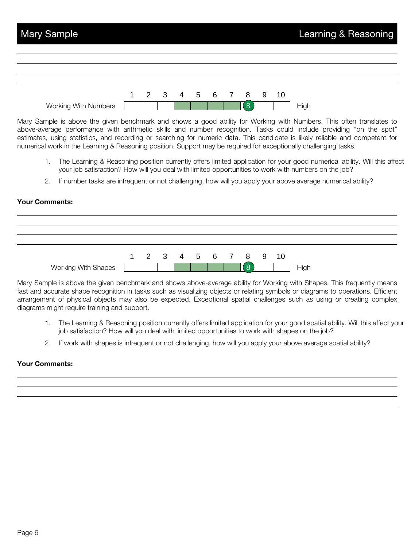

Mary Sample is above the given benchmark and shows a good ability for Working with Numbers. This often translates to above-average performance with arithmetic skills and number recognition. Tasks could include providing "on the spot" estimates, using statistics, and recording or searching for numeric data. This candidate is likely reliable and competent for numerical work in the Learning & Reasoning position. Support may be required for exceptionally challenging tasks.

- 1. The Learning & Reasoning position currently offers limited application for your good numerical ability. Will this affect your job satisfaction? How will you deal with limited opportunities to work with numbers on the job?
- 2. If number tasks are infrequent or not challenging, how will you apply your above average numerical ability?

#### **Your Comments:**



Mary Sample is above the given benchmark and shows above-average ability for Working with Shapes. This frequently means fast and accurate shape recognition in tasks such as visualizing objects or relating symbols or diagrams to operations. Efficient arrangement of physical objects may also be expected. Exceptional spatial challenges such as using or creating complex diagrams might require training and support.

- 1. The Learning & Reasoning position currently offers limited application for your good spatial ability. Will this affect your job satisfaction? How will you deal with limited opportunities to work with shapes on the job?
- 2. If work with shapes is infrequent or not challenging, how will you apply your above average spatial ability?

#### **Your Comments:**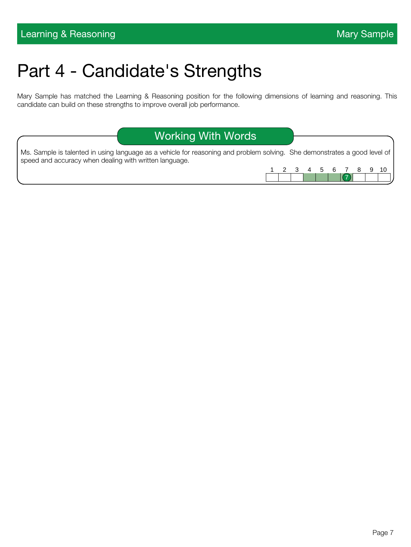# Part 4 - Candidate's Strengths

Mary Sample has matched the Learning & Reasoning position for the following dimensions of learning and reasoning. This candidate can build on these strengths to improve overall job performance.